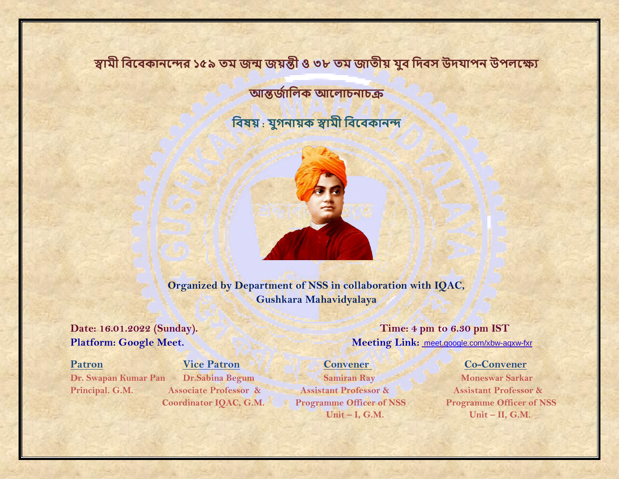# **স্বামী বিবিকানবের ১৫৯ তম জন্ম জয়ন্তী ও ৩৮ তম জাতীয় যুি বিিস উিযাপন উপলবযে**

**আন্তজজাবলক আবলাচনাচক্র**

**বিষয় : যুগনায়ক স্বামী বিবিকানে**



**Organized by Department of NSS in collaboration with IQAC, Gushkara Mahavidyalaya** 

**Dr. Swapan Kumar Pan Dr. Sabina Begum Samiran Ray Moneswar Sarkar Principal. G.M. Associate Professor & Assistant Professor & Assistant Professor &**

**Date: 16.01.2022 (Sunday). Time: 4 pm to 6.30 pm IST Platform: Google Meet. Meeting Link:** [meet.google.com/xbw-aqxw-fxr](https://meet.google.com/xbw-aqxw-fxr?hs=224)

# **Patron Vice Patron Vice Patron Convener Co-Convener**

**Coordinator IQAC, G.M. Programme Officer of NSS Programme Officer of NSS Unit – I, G.M. Unit – II, G.M.**